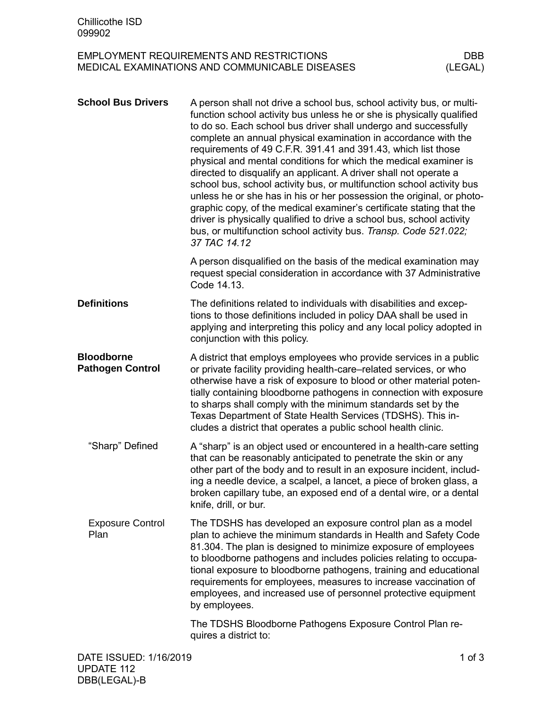## EMPLOYMENT REQUIREMENTS AND RESTRICTIONS DBB<br>MEDICAL EXAMINATIONS AND COMMUNICABLE DISEASES (LEGAL) MEDICAL EXAMINATIONS AND COMMUNICABLE DISEASES

| <b>School Bus Drivers</b>                    | A person shall not drive a school bus, school activity bus, or multi-<br>function school activity bus unless he or she is physically qualified<br>to do so. Each school bus driver shall undergo and successfully<br>complete an annual physical examination in accordance with the<br>requirements of 49 C.F.R. 391.41 and 391.43, which list those<br>physical and mental conditions for which the medical examiner is<br>directed to disqualify an applicant. A driver shall not operate a<br>school bus, school activity bus, or multifunction school activity bus<br>unless he or she has in his or her possession the original, or photo-<br>graphic copy, of the medical examiner's certificate stating that the<br>driver is physically qualified to drive a school bus, school activity<br>bus, or multifunction school activity bus. Transp. Code 521.022;<br>37 TAC 14.12 |            |
|----------------------------------------------|--------------------------------------------------------------------------------------------------------------------------------------------------------------------------------------------------------------------------------------------------------------------------------------------------------------------------------------------------------------------------------------------------------------------------------------------------------------------------------------------------------------------------------------------------------------------------------------------------------------------------------------------------------------------------------------------------------------------------------------------------------------------------------------------------------------------------------------------------------------------------------------|------------|
|                                              | A person disqualified on the basis of the medical examination may<br>request special consideration in accordance with 37 Administrative<br>Code 14.13.                                                                                                                                                                                                                                                                                                                                                                                                                                                                                                                                                                                                                                                                                                                               |            |
| <b>Definitions</b>                           | The definitions related to individuals with disabilities and excep-<br>tions to those definitions included in policy DAA shall be used in<br>applying and interpreting this policy and any local policy adopted in<br>conjunction with this policy.                                                                                                                                                                                                                                                                                                                                                                                                                                                                                                                                                                                                                                  |            |
| <b>Bloodborne</b><br><b>Pathogen Control</b> | A district that employs employees who provide services in a public<br>or private facility providing health-care–related services, or who<br>otherwise have a risk of exposure to blood or other material poten-<br>tially containing bloodborne pathogens in connection with exposure<br>to sharps shall comply with the minimum standards set by the<br>Texas Department of State Health Services (TDSHS). This in-<br>cludes a district that operates a public school health clinic.                                                                                                                                                                                                                                                                                                                                                                                               |            |
| "Sharp" Defined                              | A "sharp" is an object used or encountered in a health-care setting<br>that can be reasonably anticipated to penetrate the skin or any<br>other part of the body and to result in an exposure incident, includ-<br>ing a needle device, a scalpel, a lancet, a piece of broken glass, a<br>broken capillary tube, an exposed end of a dental wire, or a dental<br>knife, drill, or bur.                                                                                                                                                                                                                                                                                                                                                                                                                                                                                              |            |
| <b>Exposure Control</b><br>Plan              | The TDSHS has developed an exposure control plan as a model<br>plan to achieve the minimum standards in Health and Safety Code<br>81.304. The plan is designed to minimize exposure of employees<br>to bloodborne pathogens and includes policies relating to occupa-<br>tional exposure to bloodborne pathogens, training and educational<br>requirements for employees, measures to increase vaccination of<br>employees, and increased use of personnel protective equipment<br>by employees.                                                                                                                                                                                                                                                                                                                                                                                     |            |
|                                              | The TDSHS Bloodborne Pathogens Exposure Control Plan re-<br>quires a district to:                                                                                                                                                                                                                                                                                                                                                                                                                                                                                                                                                                                                                                                                                                                                                                                                    |            |
| DATE ISSUED: 1/16/2019                       |                                                                                                                                                                                                                                                                                                                                                                                                                                                                                                                                                                                                                                                                                                                                                                                                                                                                                      | $1$ of $3$ |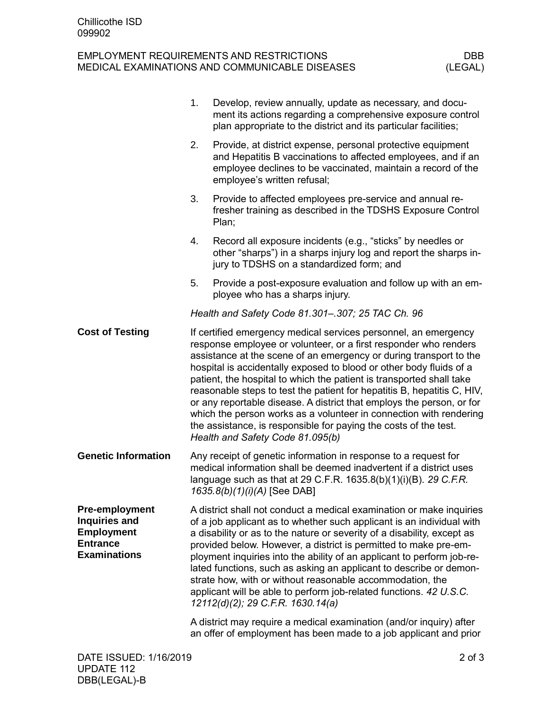## EMPLOYMENT REQUIREMENTS AND RESTRICTIONS DBB<br>MEDICAL EXAMINATIONS AND COMMUNICABLE DISEASES (LEGAL) MEDICAL EXAMINATIONS AND COMMUNICABLE DISEASES

|                                                                                                       | 1. | Develop, review annually, update as necessary, and docu-<br>ment its actions regarding a comprehensive exposure control<br>plan appropriate to the district and its particular facilities;                                                                                                                                                                                                                                                                                                                                                                                                                                                                                                 |            |
|-------------------------------------------------------------------------------------------------------|----|--------------------------------------------------------------------------------------------------------------------------------------------------------------------------------------------------------------------------------------------------------------------------------------------------------------------------------------------------------------------------------------------------------------------------------------------------------------------------------------------------------------------------------------------------------------------------------------------------------------------------------------------------------------------------------------------|------------|
|                                                                                                       | 2. | Provide, at district expense, personal protective equipment<br>and Hepatitis B vaccinations to affected employees, and if an<br>employee declines to be vaccinated, maintain a record of the<br>employee's written refusal;                                                                                                                                                                                                                                                                                                                                                                                                                                                                |            |
|                                                                                                       | 3. | Provide to affected employees pre-service and annual re-<br>fresher training as described in the TDSHS Exposure Control<br>Plan;                                                                                                                                                                                                                                                                                                                                                                                                                                                                                                                                                           |            |
|                                                                                                       | 4. | Record all exposure incidents (e.g., "sticks" by needles or<br>other "sharps") in a sharps injury log and report the sharps in-<br>jury to TDSHS on a standardized form; and                                                                                                                                                                                                                                                                                                                                                                                                                                                                                                               |            |
|                                                                                                       | 5. | Provide a post-exposure evaluation and follow up with an em-<br>ployee who has a sharps injury.                                                                                                                                                                                                                                                                                                                                                                                                                                                                                                                                                                                            |            |
|                                                                                                       |    | Health and Safety Code 81.301-.307; 25 TAC Ch. 96                                                                                                                                                                                                                                                                                                                                                                                                                                                                                                                                                                                                                                          |            |
| <b>Cost of Testing</b>                                                                                |    | If certified emergency medical services personnel, an emergency<br>response employee or volunteer, or a first responder who renders<br>assistance at the scene of an emergency or during transport to the<br>hospital is accidentally exposed to blood or other body fluids of a<br>patient, the hospital to which the patient is transported shall take<br>reasonable steps to test the patient for hepatitis B, hepatitis C, HIV,<br>or any reportable disease. A district that employs the person, or for<br>which the person works as a volunteer in connection with rendering<br>the assistance, is responsible for paying the costs of the test.<br>Health and Safety Code 81.095(b) |            |
| <b>Genetic Information</b>                                                                            |    | Any receipt of genetic information in response to a request for<br>medical information shall be deemed inadvertent if a district uses<br>language such as that at 29 C.F.R. 1635.8(b)(1)(i)(B). 29 C.F.R.<br>1635.8(b)(1)(i)(A) [See DAB]                                                                                                                                                                                                                                                                                                                                                                                                                                                  |            |
| <b>Pre-employment</b><br>Inquiries and<br><b>Employment</b><br><b>Entrance</b><br><b>Examinations</b> |    | A district shall not conduct a medical examination or make inquiries<br>of a job applicant as to whether such applicant is an individual with<br>a disability or as to the nature or severity of a disability, except as<br>provided below. However, a district is permitted to make pre-em-<br>ployment inquiries into the ability of an applicant to perform job-re-<br>lated functions, such as asking an applicant to describe or demon-<br>strate how, with or without reasonable accommodation, the<br>applicant will be able to perform job-related functions. 42 U.S.C.<br>12112(d)(2); 29 C.F.R. 1630.14(a)                                                                       |            |
|                                                                                                       |    | A district may require a medical examination (and/or inquiry) after<br>an offer of employment has been made to a job applicant and prior                                                                                                                                                                                                                                                                                                                                                                                                                                                                                                                                                   |            |
| DATE ISSUED: 1/16/2019                                                                                |    |                                                                                                                                                                                                                                                                                                                                                                                                                                                                                                                                                                                                                                                                                            | $2$ of $3$ |